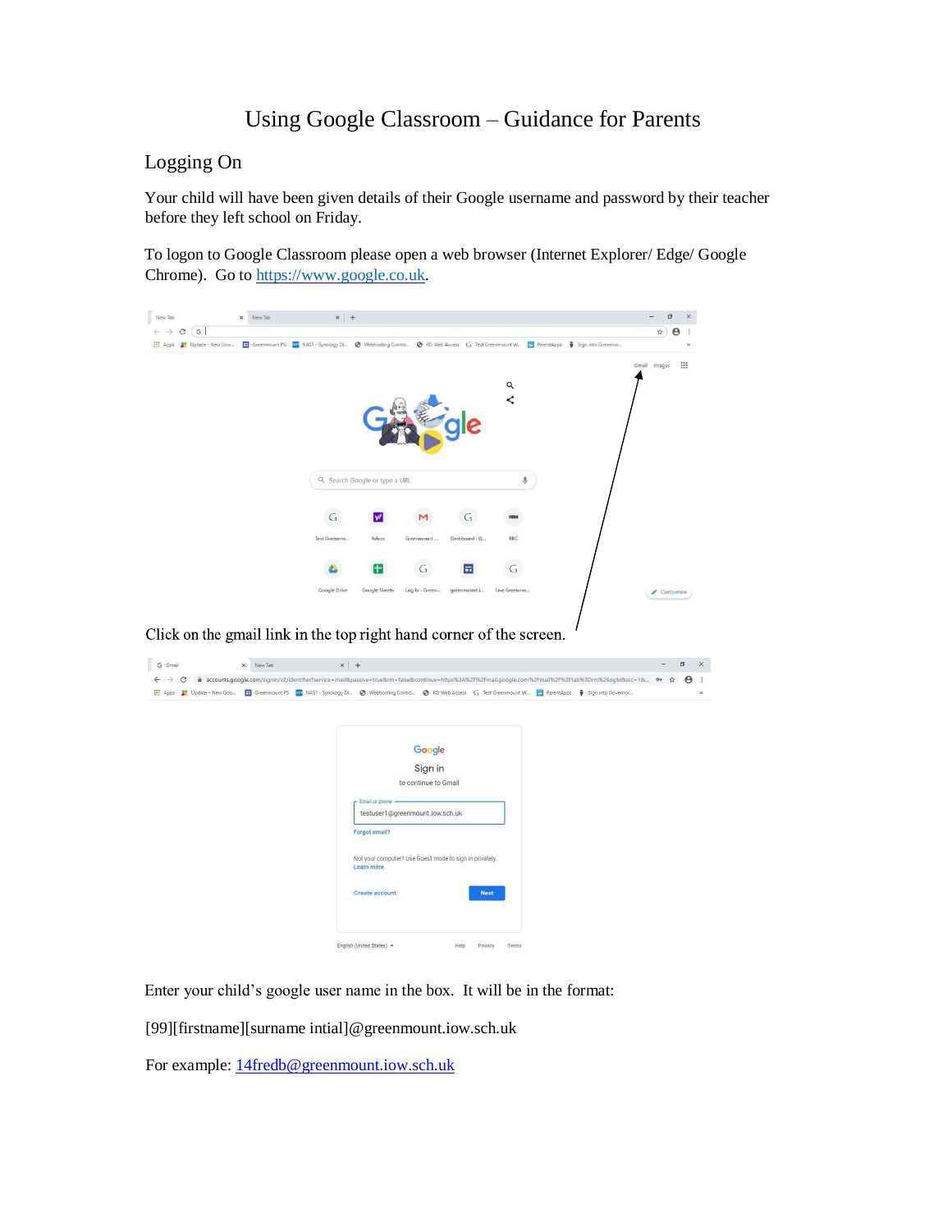## Using Google Classroom – Guidance for Parents

## Logging On

Your child will have been given details of their Google username and password by their teacher before they left school on Friday.

To logon to Google Classroom please open a web browser (Internet Explorer/ Edge/ Google Chrome). Go to [https://www.google.co.uk.](https://www.google.co.uk/)

| $\leftarrow$ $\rightarrow$ C (G)<br>Update - New Goo <b>H</b> Greenmount PS <b>Sta</b> NAS1 - Synology Di @ Webhosting Contro @ RD Web Access G Test Greenmount W <b>G</b> ParentApps <b>@</b> Sign into Governor<br>H Apps                                                     |                   |                                                  |                                 |                                                         |                         | ☆             |
|---------------------------------------------------------------------------------------------------------------------------------------------------------------------------------------------------------------------------------------------------------------------------------|-------------------|--------------------------------------------------|---------------------------------|---------------------------------------------------------|-------------------------|---------------|
|                                                                                                                                                                                                                                                                                 |                   |                                                  |                                 |                                                         | Q<br>$\prec$            | Gmail Images  |
|                                                                                                                                                                                                                                                                                 |                   | Q. Search Google or type a URL                   |                                 |                                                         | $\overline{\mathbb{Q}}$ |               |
|                                                                                                                                                                                                                                                                                 | G<br>Test Greenmo | w                                                |                                 | G<br>Dashboard - G                                      | BBC                     |               |
|                                                                                                                                                                                                                                                                                 |                   | Yahoo                                            | Greenmount<br>G                 | н                                                       | G                       |               |
|                                                                                                                                                                                                                                                                                 | Google Drive      | Google Sheets                                    | Log In + Green                  | greenmount.i                                            | Live Greenmo            | Customise     |
|                                                                                                                                                                                                                                                                                 |                   |                                                  |                                 |                                                         |                         |               |
| X New Tab                                                                                                                                                                                                                                                                       | $\times$   +      |                                                  |                                 |                                                         |                         | i.<br>$\circ$ |
| ● accounts.google.com/signin/v2/identifier?service=mail&passive=true&rm=false&continue=https%3A%2F%2Fmail.google.com%2Fmail%2F%3Ftab%3Drm%26ogbl&scc=1& ● ☆                                                                                                                     |                   |                                                  |                                 |                                                         |                         |               |
|                                                                                                                                                                                                                                                                                 |                   |                                                  | Google                          |                                                         |                         |               |
|                                                                                                                                                                                                                                                                                 |                   |                                                  | Sign in<br>to continue to Gmail |                                                         |                         |               |
|                                                                                                                                                                                                                                                                                 |                   | - Email or phone -                               |                                 |                                                         |                         |               |
|                                                                                                                                                                                                                                                                                 |                   | testuser1@greenmount.iow.sch.uk<br>Forgot email? |                                 |                                                         |                         |               |
|                                                                                                                                                                                                                                                                                 |                   | Learn more                                       |                                 | Not your computer? Use Guest mode to sign in privately. |                         |               |
| Click on the gmail link in the top right hand corner of the screen.<br>G Gmail<br>$\leftarrow$ $\rightarrow$ C<br>11 Apps 2 Update - New Goo The Greenmount PS 52 NAS1 - Synology Di @ Webhosting Contro @ RD Web Access G Test Greenmount W To ParentApps # Sign into Governor |                   | Create account                                   |                                 | <b>Next</b>                                             |                         | Θ             |

Enter your child's google user name in the box. It will be in the format:

[99][firstname][surname intial]@greenmount.iow.sch.uk

For example:  $14$ fredb@greenmount.iow.sch.uk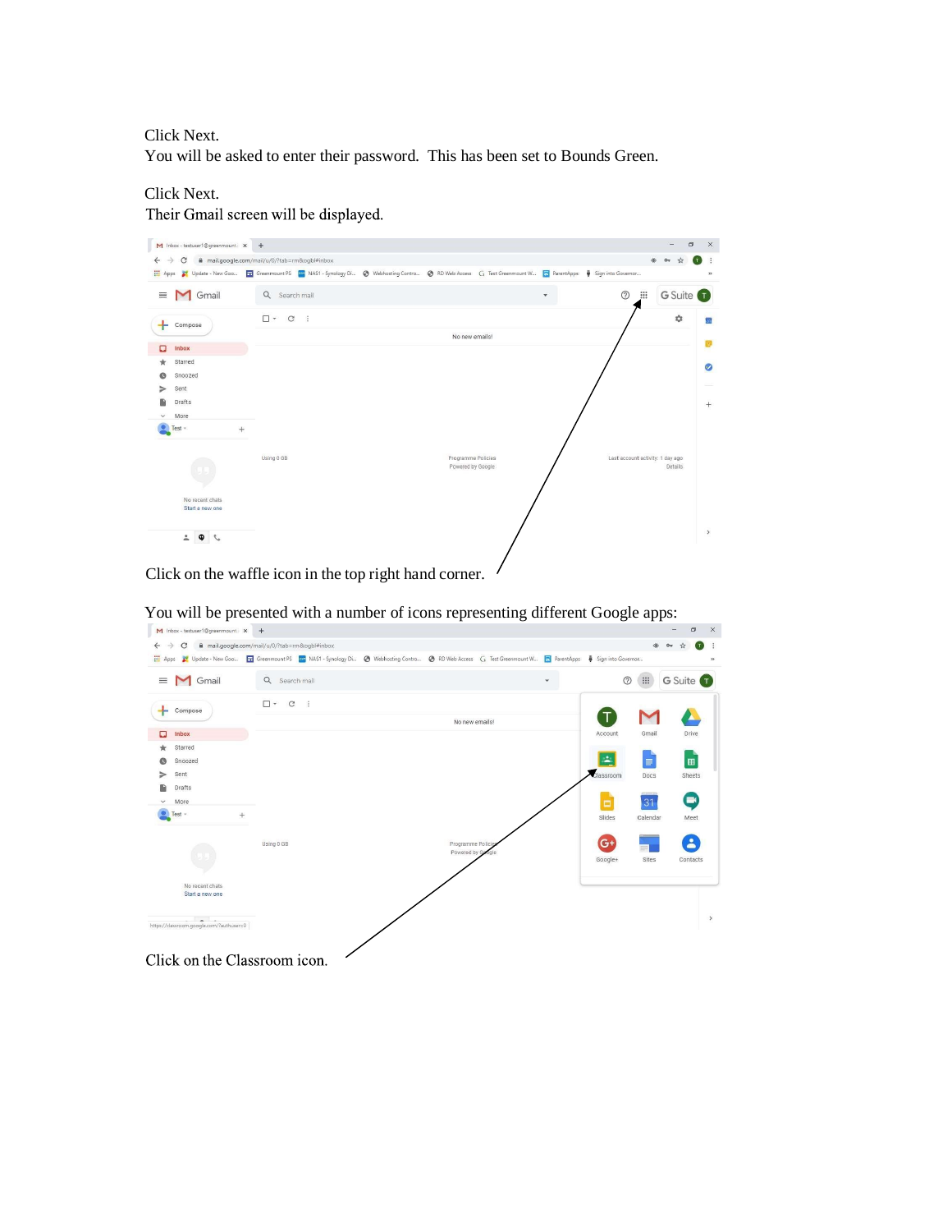Click Next.

You will be asked to enter their password. This has been set to Bounds Green.

## Click Next.

Their Gmail screen will be displayed.



Click on the waffle icon in the top right hand corner.

| $\rightarrow$<br>$\leftarrow$<br>C       | mail.google.com/mail/u/0/?tab=rm&ogbl#inbox                                                                                                                                                                                                                                                                                     |                                    |   |                |               |                      |
|------------------------------------------|---------------------------------------------------------------------------------------------------------------------------------------------------------------------------------------------------------------------------------------------------------------------------------------------------------------------------------|------------------------------------|---|----------------|---------------|----------------------|
|                                          |                                                                                                                                                                                                                                                                                                                                 |                                    |   |                | $\circledast$ |                      |
|                                          |                                                                                                                                                                                                                                                                                                                                 |                                    |   |                |               |                      |
| <b>M</b> Gmail<br>$\equiv$               | Q Search mail                                                                                                                                                                                                                                                                                                                   |                                    | ٠ | $\circledcirc$ | $\mathbf{}$   | G Suite <sup>1</sup> |
| ۰<br>Compose                             | $\square$ $\cdot$ $\hspace{0.1cm}$ $\hspace{0.1cm}$ $\hspace{0.1cm}$ $\hspace{0.1cm}$ $\hspace{0.1cm}$ $\hspace{0.1cm}$ $\hspace{0.1cm}$ $\hspace{0.1cm}$ $\hspace{0.1cm}$ $\hspace{0.1cm}$ $\hspace{0.1cm}$ $\hspace{0.1cm}$ $\hspace{0.1cm}$ $\hspace{0.1cm}$ $\hspace{0.1cm}$ $\hspace{0.1cm}$ $\hspace{0.1cm}$ $\hspace{0.$ |                                    |   |                |               |                      |
|                                          |                                                                                                                                                                                                                                                                                                                                 | No new emails!                     |   | Т              |               |                      |
| ۵<br>Inbox                               |                                                                                                                                                                                                                                                                                                                                 |                                    |   | Account        | Gmail         | Drive                |
| Starred                                  |                                                                                                                                                                                                                                                                                                                                 |                                    |   |                |               |                      |
| Snoozed                                  |                                                                                                                                                                                                                                                                                                                                 |                                    |   | ÷              | $\equiv$      | 田                    |
| Sent                                     |                                                                                                                                                                                                                                                                                                                                 |                                    |   | Classroom      | Docs          | Sheets               |
| Drafts                                   |                                                                                                                                                                                                                                                                                                                                 |                                    |   |                |               |                      |
| More<br>$\checkmark$                     |                                                                                                                                                                                                                                                                                                                                 |                                    |   | ō              | 31            | $\blacksquare$       |
| $Test -$<br>$^{+}$                       |                                                                                                                                                                                                                                                                                                                                 |                                    |   | Slides         | Calendar      | Meet                 |
|                                          | Using 0 GB                                                                                                                                                                                                                                                                                                                      | Programme Policie<br>Powered by Go |   | $G+$           |               | $\Delta$             |
|                                          |                                                                                                                                                                                                                                                                                                                                 |                                    |   | Google+        | Sites         | Contacts             |
|                                          |                                                                                                                                                                                                                                                                                                                                 |                                    |   |                |               |                      |
| No recent chats<br>Start a new one       |                                                                                                                                                                                                                                                                                                                                 |                                    |   |                |               |                      |
|                                          |                                                                                                                                                                                                                                                                                                                                 |                                    |   |                |               |                      |
| <b>Contract Contract</b>                 |                                                                                                                                                                                                                                                                                                                                 |                                    |   |                |               |                      |
| https://classroom.google.com/?authuser=0 |                                                                                                                                                                                                                                                                                                                                 |                                    |   |                |               |                      |

You will be presented with a number of icons representing different Google apps: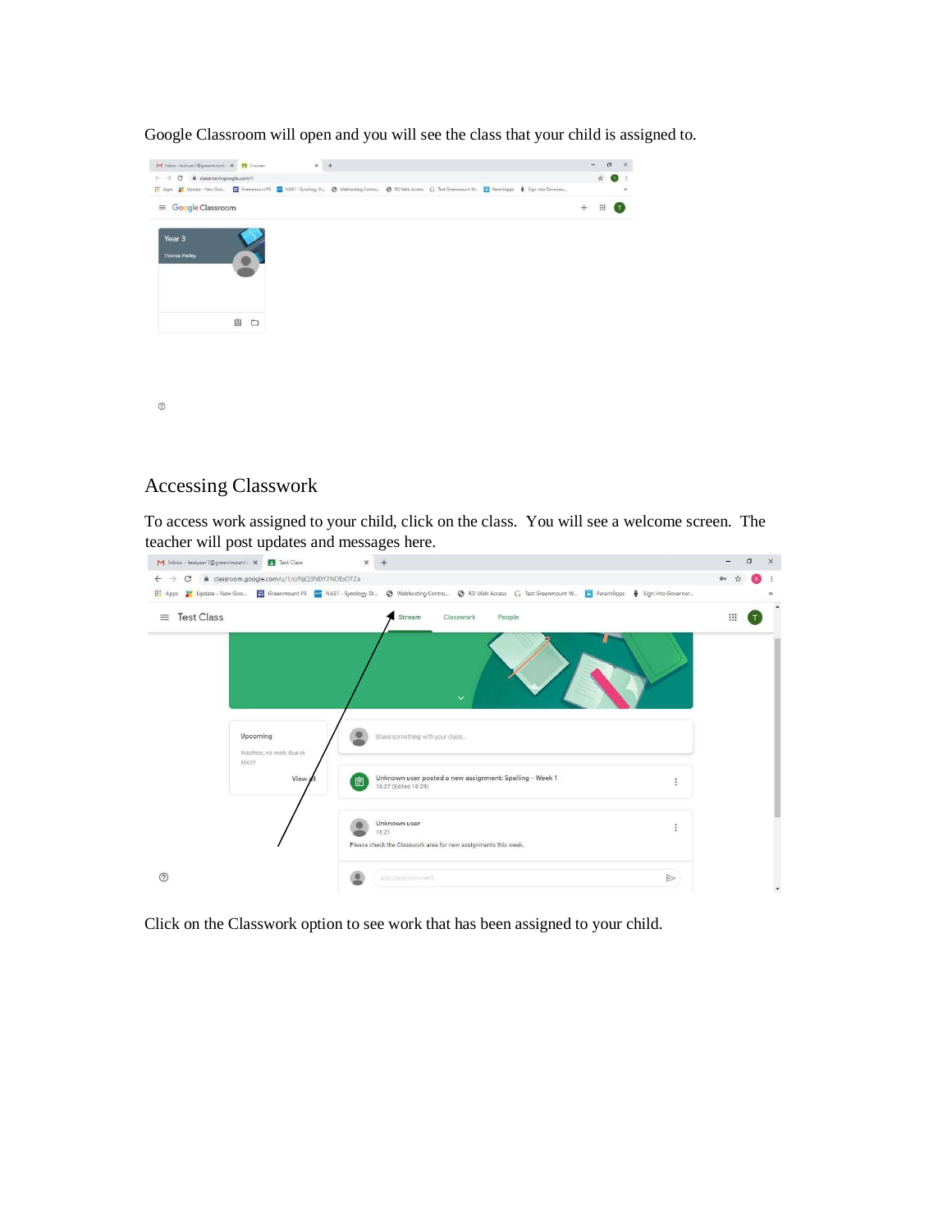

Google Classroom will open and you will see the class that your child is assigned to.

## Accessing Classwork

To access work assigned to your child, click on the class. You will see a welcome screen. The teacher will post updates and messages here.



Click on the Classwork option to see work that has been assigned to your child.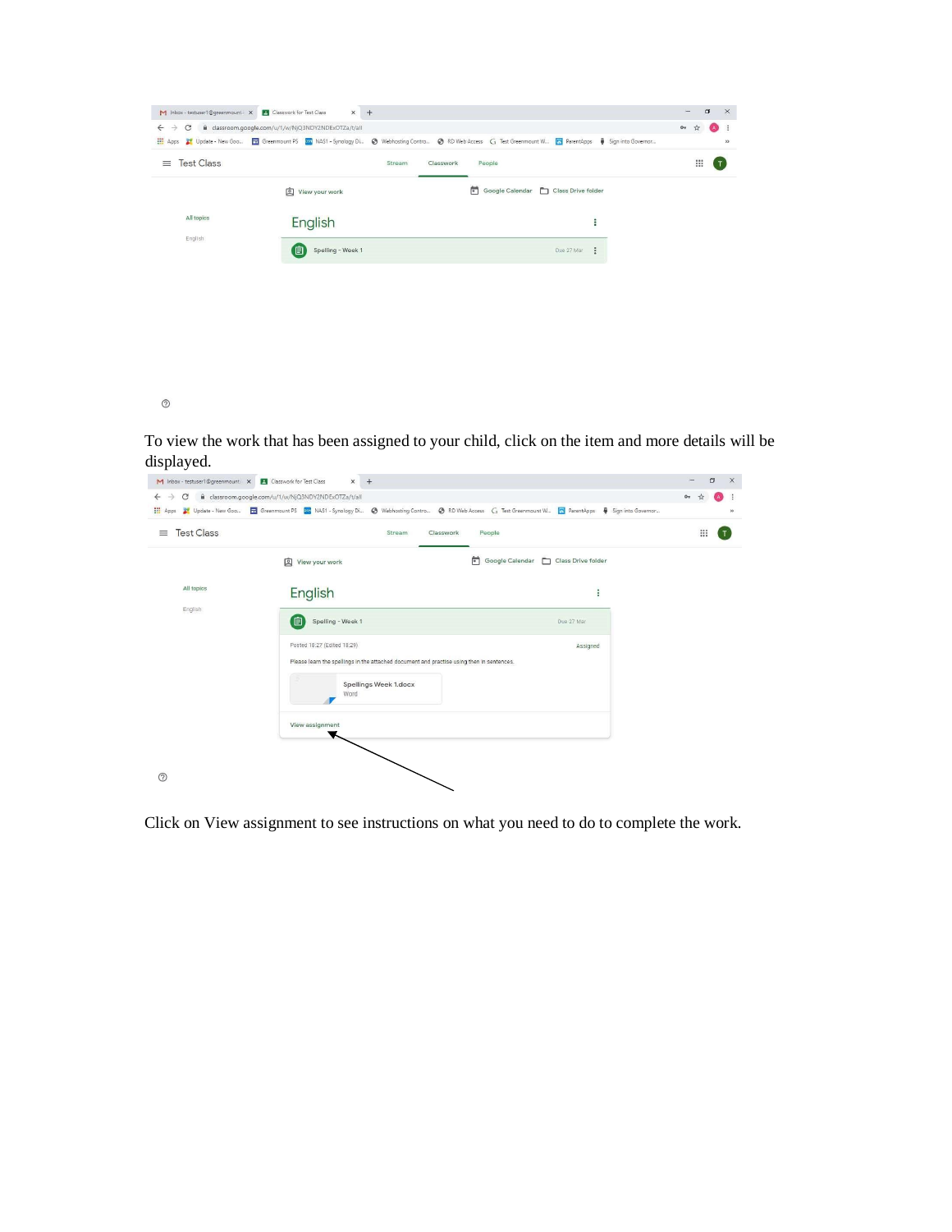|                               | C B classroom.google.com/u/1/w/NjQ3NDY2NDExOTZa/t/all |                                      |                       |  |
|-------------------------------|-------------------------------------------------------|--------------------------------------|-----------------------|--|
| <b>Test Class</b><br>$\equiv$ |                                                       | Stream<br>Classwork<br>People        | $\mathop{\mathbb{H}}$ |  |
|                               | View your work                                        | Google Calendar   Class Drive folder |                       |  |
| All topics                    | English                                               | ÷                                    |                       |  |
| English                       | 间<br>Spelling - Week 1                                | ÷<br>Due 27 Mar                      |                       |  |
|                               |                                                       |                                      |                       |  |
|                               |                                                       |                                      |                       |  |

 $\odot$ 

To view the work that has been assigned to your child, click on the item and more details will be displayed.

| <b>Test Class</b> | Stream                                                                                                                   | Classwork<br>People                  | $\dddot{}$ |
|-------------------|--------------------------------------------------------------------------------------------------------------------------|--------------------------------------|------------|
|                   | View your work                                                                                                           | Google Calendar   Class Drive folder |            |
| All topics        | English                                                                                                                  | ŧ                                    |            |
| English           | 〔自<br>Spelling - Week 1                                                                                                  | Due 27 Mar                           |            |
|                   | Posted 18:27 (Edited 18:29)<br>Please learn the spellings in the attached document and practise using then in sentences. | Assigned                             |            |
|                   | Spellings Week 1.docx<br>Word                                                                                            |                                      |            |
|                   | View assignment                                                                                                          |                                      |            |

Click on View assignment to see instructions on what you need to do to complete the work.